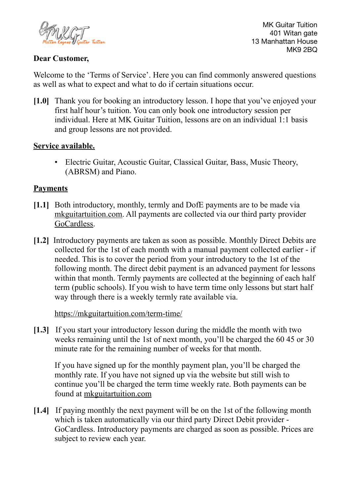

MK Guitar Tuition 401 Witan gate 13 Manhattan House MK9 2BQ

# **Dear Customer,**

Welcome to the 'Terms of Service'. Here you can find commonly answered questions as well as what to expect and what to do if certain situations occur.

**[1.0]** Thank you for booking an introductory lesson. I hope that you've enjoyed your first half hour's tuition. You can only book one introductory session per individual. Here at MK Guitar Tuition, lessons are on an individual 1:1 basis and group lessons are not provided.

## **Service available.**

• Electric Guitar, Acoustic Guitar, Classical Guitar, Bass, Music Theory, (ABRSM) and Piano.

### **Payments**

- **[1.1]** Both introductory, monthly, termly and DofE payments are to be made via [mkguitartuition.com](http://mkguitartuition.com). All payments are collected via our third party provider [GoCardless](https://gocardless.com).
- **[1.2]** Introductory payments are taken as soon as possible. Monthly Direct Debits are collected for the 1st of each month with a manual payment collected earlier - if needed. This is to cover the period from your introductory to the 1st of the following month. The direct debit payment is an advanced payment for lessons within that month. Termly payments are collected at the beginning of each half term (public schools). If you wish to have term time only lessons but start half way through there is a weekly termly rate available via.

#### [https://mkguitartuition.com/term-time/](http://mkguitartuition.com)

**[1.3]** If you start your introductory lesson during the middle the month with two weeks remaining until the 1st of next month, you'll be charged the 60 45 or 30 minute rate for the remaining number of weeks for that month.

If you have signed up for the monthly payment plan, you'll be charged the monthly rate. If you have not signed up via the website but still wish to continue you'll be charged the term time weekly rate. Both payments can be found at [mkguitartuition.com](http://mkguitartuition.com)

**[1.4]** If paying monthly the next payment will be on the 1st of the following month which is taken automatically via our third party Direct Debit provider - GoCardless. Introductory payments are charged as soon as possible. Prices are subject to review each year.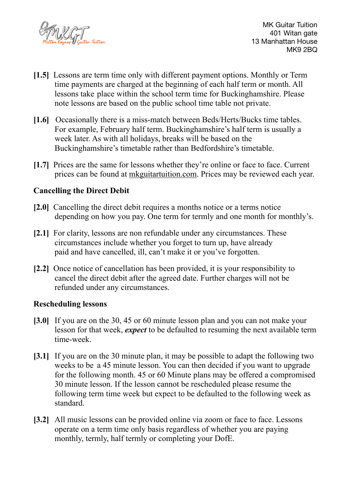

MK Guitar Tuition 401 Witan gate 13 Manhattan House MK9 2BQ

- **[1.5]** Lessons are term time only with different payment options. Monthly or Term time payments are charged at the beginning of each half term or month. All lessons take place within the school term time for Buckinghamshire. Please note lessons are based on the public school time table not private.
- **[1.6]** Occasionally there is a miss-match between Beds/Herts/Bucks time tables. For example, February half term. Buckinghamshire's half term is usually a week later. As with all holidays, breaks will be based on the Buckinghamshire's timetable rather than Bedfordshire's timetable.
- **[1.7]** Prices are the same for lessons whether they're online or face to face. Current prices can be found at [mkguitartuition.com.](http://mkguitartuition.com) Prices may be reviewed each year.

# **Cancelling the Direct Debit**

- **[2.0]** Cancelling the direct debit requires a months notice or a terms notice depending on how you pay. One term for termly and one month for monthly's.
- **[2.1]** For clarity, lessons are non refundable under any circumstances. These circumstances include whether you forget to turn up, have already paid and have cancelled, ill, can't make it or you've forgotten.
- **[2.2]** Once notice of cancellation has been provided, it is your responsibility to cancel the direct debit after the agreed date. Further charges will not be refunded under any circumstances.

## **Rescheduling lessons**

- **[3.0]** If you are on the 30, 45 or 60 minute lesson plan and you can not make your lesson for that week, *expect* to be defaulted to resuming the next available term time-week.
- **[3.1]** If you are on the 30 minute plan, it may be possible to adapt the following two weeks to be a 45 minute lesson. You can then decided if you want to upgrade for the following month. 45 or 60 Minute plans may be offered a compromised 30 minute lesson. If the lesson cannot be rescheduled please resume the following term time week but expect to be defaulted to the following week as standard.
- [3.2] All music lessons can be provided online via zoom or face to face. Lessons operate on a term time only basis regardless of whether you are paying monthly, termly, half termly or completing your DofE.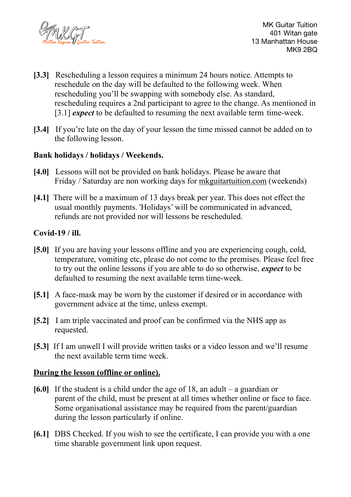

- **[3.3]** Rescheduling a lesson requires a minimum 24 hours notice. Attempts to reschedule on the day will be defaulted to the following week. When rescheduling you'll be swapping with somebody else. As standard, rescheduling requires a 2nd participant to agree to the change. As mentioned in [3.1] *expect* to be defaulted to resuming the next available term time-week.
- **[3.4]** If you're late on the day of your lesson the time missed cannot be added on to the following lesson.

## **Bank holidays / holidays / Weekends.**

- **[4.0]** Lessons will not be provided on bank holidays. Please be aware that Friday / Saturday are non working days for [mkguitartuition.com](http://mkguitartuition.com) (weekends)
- **[4.1]** There will be a maximum of 13 days break per year. This does not effect the usual monthly payments. 'Holidays' will be communicated in advanced, refunds are not provided nor will lessons be rescheduled.

### **Covid-19 / ill.**

- **[5.0]** If you are having your lessons offline and you are experiencing cough, cold, temperature, vomiting etc, please do not come to the premises. Please feel free to try out the online lessons if you are able to do so otherwise, *expect* to be defaulted to resuming the next available term time-week.
- **[5.1]** A face-mask may be worn by the customer if desired or in accordance with government advice at the time, unless exempt.
- **[5.2]** I am triple vaccinated and proof can be confirmed via the NHS app as requested.
- **[5.3]** If I am unwell I will provide written tasks or a video lesson and we'll resume the next available term time week.

#### **During the lesson (offline or online).**

- **[6.0]** If the student is a child under the age of 18, an adult a guardian or parent of the child, must be present at all times whether online or face to face. Some organisational assistance may be required from the parent/guardian during the lesson particularly if online.
- **[6.1]** DBS Checked. If you wish to see the certificate, I can provide you with a one time sharable government link upon request.